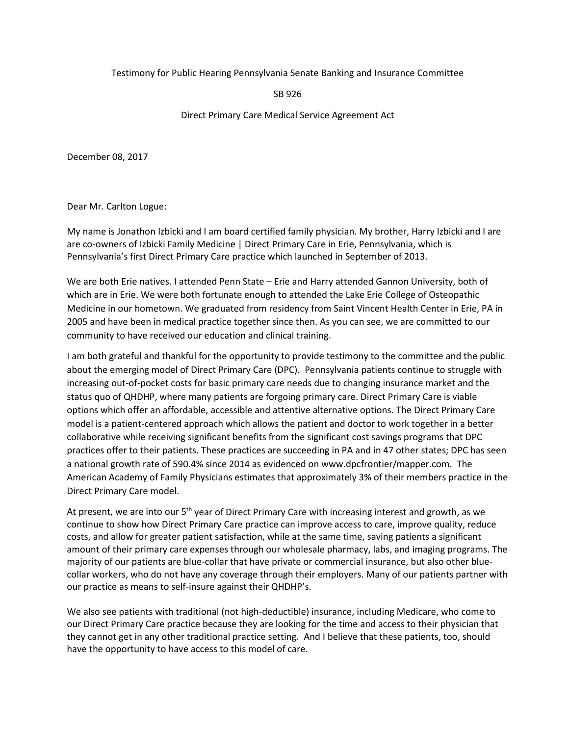## Testimony for Public Hearing Pennsylvania Senate Banking and Insurance Committee

## SB 926

## Direct Primary Care Medical Service Agreement Act

December 08, 2017

Dear Mr. Carlton Logue:

My name is Jonathon Izbicki and I am board certified family physician. My brother, Harry Izbicki and I are are co-owners of Izbicki Family Medicine | Direct Primary Care in Erie, Pennsylvania, which is Pennsylvania's first Direct Primary Care practice which launched in September of 2013.

We are both Erie natives. I attended Penn State – Erie and Harry attended Gannon University, both of which are in Erie. We were both fortunate enough to attended the Lake Erie College of Osteopathic Medicine in our hometown. We graduated from residency from Saint Vincent Health Center in Erie, PA in 2005 and have been in medical practice together since then. As you can see, we are committed to our community to have received our education and clinical training.

I am both grateful and thankful for the opportunity to provide testimony to the committee and the public about the emerging model of Direct Primary Care (DPC). Pennsylvania patients continue to struggle with increasing out-of-pocket costs for basic primary care needs due to changing insurance market and the status quo of QHDHP, where many patients are forgoing primary care. Direct Primary Care is viable options which offer an affordable, accessible and attentive alternative options. The Direct Primary Care model is a patient-centered approach which allows the patient and doctor to work together in a better collaborative while receiving significant benefits from the significant cost savings programs that DPC practices offer to their patients. These practices are succeeding in PA and in 47 other states; DPC has seen a national growth rate of 590.4% since 2014 as evidenced on www.dpcfrontier/mapper.com. The American Academy of Family Physicians estimates that approximately 3% of their members practice in the Direct Primary Care model.

At present, we are into our 5<sup>th</sup> year of Direct Primary Care with increasing interest and growth, as we continue to show how Direct Primary Care practice can improve access to care, improve quality, reduce costs, and allow for greater patient satisfaction, while at the same time, saving patients a significant amount of their primary care expenses through our wholesale pharmacy, labs, and imaging programs. The majority of our patients are blue-collar that have private or commercial insurance, but also other bluecollar workers, who do not have any coverage through their employers. Many of our patients partner with our practice as means to self-insure against their QHDHP's.

We also see patients with traditional (not high-deductible) insurance, including Medicare, who come to our Direct Primary Care practice because they are looking for the time and access to their physician that they cannot get in any other traditional practice setting. And I believe that these patients, too, should have the opportunity to have access to this model of care.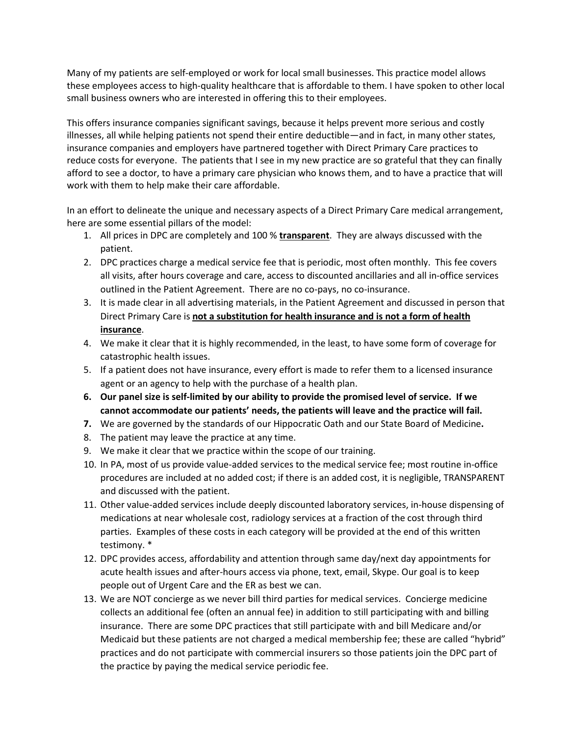Many of my patients are self-employed or work for local small businesses. This practice model allows these employees access to high-quality healthcare that is affordable to them. I have spoken to other local small business owners who are interested in offering this to their employees.

This offers insurance companies significant savings, because it helps prevent more serious and costly illnesses, all while helping patients not spend their entire deductible—and in fact, in many other states, insurance companies and employers have partnered together with Direct Primary Care practices to reduce costs for everyone. The patients that I see in my new practice are so grateful that they can finally afford to see a doctor, to have a primary care physician who knows them, and to have a practice that will work with them to help make their care affordable.

In an effort to delineate the unique and necessary aspects of a Direct Primary Care medical arrangement, here are some essential pillars of the model:

- 1. All prices in DPC are completely and 100 % **transparent**. They are always discussed with the patient.
- 2. DPC practices charge a medical service fee that is periodic, most often monthly. This fee covers all visits, after hours coverage and care, access to discounted ancillaries and all in-office services outlined in the Patient Agreement. There are no co-pays, no co-insurance.
- 3. It is made clear in all advertising materials, in the Patient Agreement and discussed in person that Direct Primary Care is **not a substitution for health insurance and is not a form of health insurance**.
- 4. We make it clear that it is highly recommended, in the least, to have some form of coverage for catastrophic health issues.
- 5. If a patient does not have insurance, every effort is made to refer them to a licensed insurance agent or an agency to help with the purchase of a health plan.
- **6. Our panel size is self-limited by our ability to provide the promised level of service. If we cannot accommodate our patients' needs, the patients will leave and the practice will fail.**
- **7.** We are governed by the standards of our Hippocratic Oath and our State Board of Medicine**.**
- 8. The patient may leave the practice at any time.
- 9. We make it clear that we practice within the scope of our training.
- 10. In PA, most of us provide value-added services to the medical service fee; most routine in-office procedures are included at no added cost; if there is an added cost, it is negligible, TRANSPARENT and discussed with the patient.
- 11. Other value-added services include deeply discounted laboratory services, in-house dispensing of medications at near wholesale cost, radiology services at a fraction of the cost through third parties. Examples of these costs in each category will be provided at the end of this written testimony. \*
- 12. DPC provides access, affordability and attention through same day/next day appointments for acute health issues and after-hours access via phone, text, email, Skype. Our goal is to keep people out of Urgent Care and the ER as best we can.
- 13. We are NOT concierge as we never bill third parties for medical services. Concierge medicine collects an additional fee (often an annual fee) in addition to still participating with and billing insurance. There are some DPC practices that still participate with and bill Medicare and/or Medicaid but these patients are not charged a medical membership fee; these are called "hybrid" practices and do not participate with commercial insurers so those patients join the DPC part of the practice by paying the medical service periodic fee.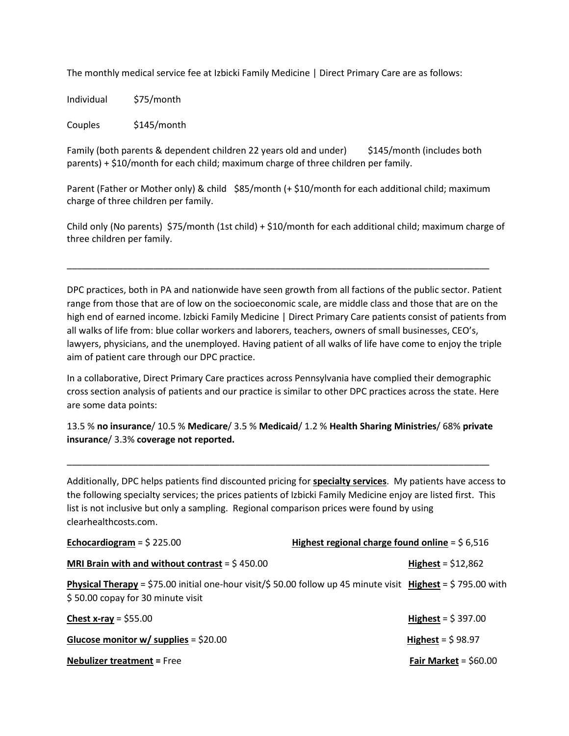The monthly medical service fee at Izbicki Family Medicine | Direct Primary Care are as follows:

Individual \$75/month

Couples \$145/month

Family (both parents & dependent children 22 years old and under) \$145/month (includes both parents) + \$10/month for each child; maximum charge of three children per family.

Parent (Father or Mother only) & child \$85/month (+ \$10/month for each additional child; maximum charge of three children per family.

Child only (No parents) \$75/month (1st child) + \$10/month for each additional child; maximum charge of three children per family.

\_\_\_\_\_\_\_\_\_\_\_\_\_\_\_\_\_\_\_\_\_\_\_\_\_\_\_\_\_\_\_\_\_\_\_\_\_\_\_\_\_\_\_\_\_\_\_\_\_\_\_\_\_\_\_\_\_\_\_\_\_\_\_\_\_\_\_\_\_\_\_\_\_\_\_\_\_\_\_\_\_\_\_

DPC practices, both in PA and nationwide have seen growth from all factions of the public sector. Patient range from those that are of low on the socioeconomic scale, are middle class and those that are on the high end of earned income. Izbicki Family Medicine | Direct Primary Care patients consist of patients from all walks of life from: blue collar workers and laborers, teachers, owners of small businesses, CEO's, lawyers, physicians, and the unemployed. Having patient of all walks of life have come to enjoy the triple aim of patient care through our DPC practice.

In a collaborative, Direct Primary Care practices across Pennsylvania have complied their demographic cross section analysis of patients and our practice is similar to other DPC practices across the state. Here are some data points:

13.5 % **no insurance**/ 10.5 % **Medicare**/ 3.5 % **Medicaid**/ 1.2 % **Health Sharing Ministries**/ 68% **private insurance**/ 3.3% **coverage not reported.**

\_\_\_\_\_\_\_\_\_\_\_\_\_\_\_\_\_\_\_\_\_\_\_\_\_\_\_\_\_\_\_\_\_\_\_\_\_\_\_\_\_\_\_\_\_\_\_\_\_\_\_\_\_\_\_\_\_\_\_\_\_\_\_\_\_\_\_\_\_\_\_\_\_\_\_\_\_\_\_\_\_\_\_

Additionally, DPC helps patients find discounted pricing for **specialty services**. My patients have access to the following specialty services; the prices patients of Izbicki Family Medicine enjoy are listed first. This list is not inclusive but only a sampling. Regional comparison prices were found by using clearhealthcosts.com.

| Echocardiogram = $$225.00$                                                                                                                               | Highest regional charge found online = $$6,516$ |  |
|----------------------------------------------------------------------------------------------------------------------------------------------------------|-------------------------------------------------|--|
| MRI Brain with and without contrast = $$450.00$                                                                                                          | <b>Highest</b> = $$12,862$                      |  |
| <b>Physical Therapy</b> = \$75.00 initial one-hour visit/\$ 50.00 follow up 45 minute visit Highest = \$795.00 with<br>\$50.00 copay for 30 minute visit |                                                 |  |
| Chest x-ray = $$55.00$                                                                                                                                   | Highest = $$397.00$                             |  |
| Glucose monitor w/ supplies = $$20.00$                                                                                                                   | Highest = $$98.97$                              |  |
| <b>Nebulizer treatment = Free</b>                                                                                                                        | Fair Market = $$60.00$                          |  |